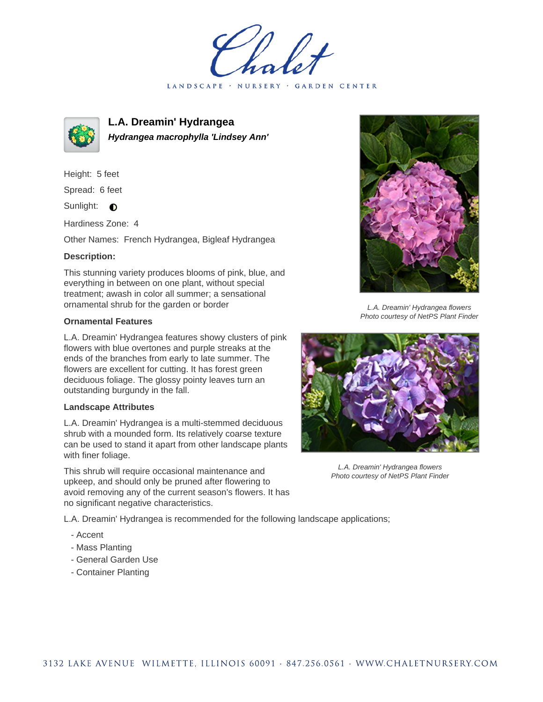LANDSCAPE · NURSERY · GARDEN CENTER



**L.A. Dreamin' Hydrangea Hydrangea macrophylla 'Lindsey Ann'**

Height: 5 feet Spread: 6 feet Sunlight:  $\bullet$ 

Hardiness Zone: 4

Other Names: French Hydrangea, Bigleaf Hydrangea

## **Description:**

This stunning variety produces blooms of pink, blue, and everything in between on one plant, without special treatment; awash in color all summer; a sensational ornamental shrub for the garden or border

## **Ornamental Features**

L.A. Dreamin' Hydrangea features showy clusters of pink flowers with blue overtones and purple streaks at the ends of the branches from early to late summer. The flowers are excellent for cutting. It has forest green deciduous foliage. The glossy pointy leaves turn an outstanding burgundy in the fall.

## **Landscape Attributes**

L.A. Dreamin' Hydrangea is a multi-stemmed deciduous shrub with a mounded form. Its relatively coarse texture can be used to stand it apart from other landscape plants with finer foliage.

This shrub will require occasional maintenance and upkeep, and should only be pruned after flowering to avoid removing any of the current season's flowers. It has no significant negative characteristics.

L.A. Dreamin' Hydrangea flowers Photo courtesy of NetPS Plant Finder



L.A. Dreamin' Hydrangea flowers Photo courtesy of NetPS Plant Finder

L.A. Dreamin' Hydrangea is recommended for the following landscape applications;

- Accent
- Mass Planting
- General Garden Use
- Container Planting